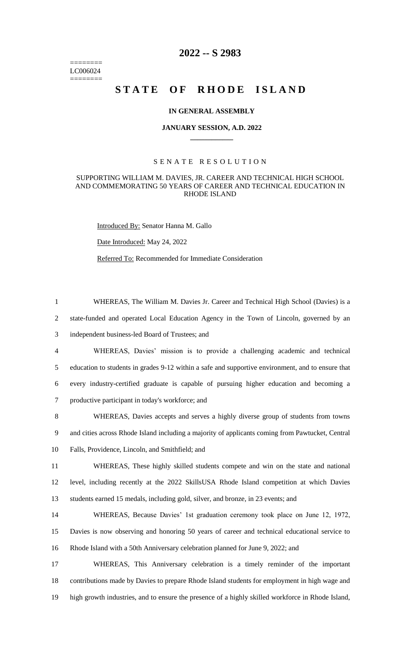======== LC006024 ========

# **2022 -- S 2983**

# STATE OF RHODE ISLAND

#### **IN GENERAL ASSEMBLY**

#### **JANUARY SESSION, A.D. 2022 \_\_\_\_\_\_\_\_\_\_\_\_**

## S E N A T E R E S O L U T I O N

## SUPPORTING WILLIAM M. DAVIES, JR. CAREER AND TECHNICAL HIGH SCHOOL AND COMMEMORATING 50 YEARS OF CAREER AND TECHNICAL EDUCATION IN RHODE ISLAND

1 WHEREAS, The William M. Davies Jr. Career and Technical High School (Davies) is a

Introduced By: Senator Hanna M. Gallo

Date Introduced: May 24, 2022

Referred To: Recommended for Immediate Consideration

 state-funded and operated Local Education Agency in the Town of Lincoln, governed by an independent business-led Board of Trustees; and WHEREAS, Davies' mission is to provide a challenging academic and technical education to students in grades 9-12 within a safe and supportive environment, and to ensure that every industry-certified graduate is capable of pursuing higher education and becoming a productive participant in today's workforce; and WHEREAS, Davies accepts and serves a highly diverse group of students from towns and cities across Rhode Island including a majority of applicants coming from Pawtucket, Central Falls, Providence, Lincoln, and Smithfield; and WHEREAS, These highly skilled students compete and win on the state and national level, including recently at the 2022 SkillsUSA Rhode Island competition at which Davies students earned 15 medals, including gold, silver, and bronze, in 23 events; and WHEREAS, Because Davies' 1st graduation ceremony took place on June 12, 1972, Davies is now observing and honoring 50 years of career and technical educational service to Rhode Island with a 50th Anniversary celebration planned for June 9, 2022; and WHEREAS, This Anniversary celebration is a timely reminder of the important contributions made by Davies to prepare Rhode Island students for employment in high wage and high growth industries, and to ensure the presence of a highly skilled workforce in Rhode Island,